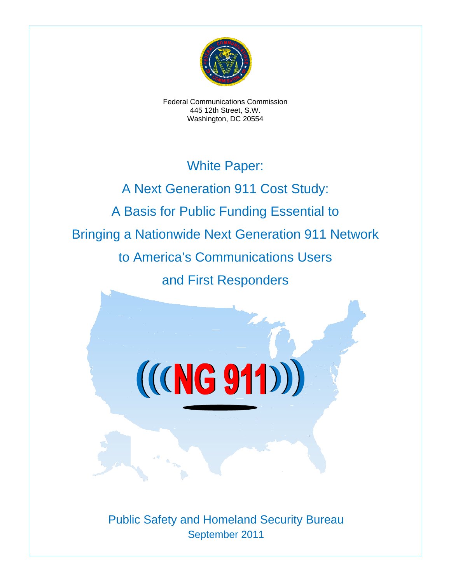

Federal Communications Commission 445 12th Street, S.W. Washington, DC 20554

## White Paper:

A Next Generation 911 Cost Study: A Basis for Public Funding Essential to Bringing a Nationwide Next Generation 911 Network to America's Communications Users and First Responders

 $((NG 911))$ 

Public Safety and Homeland Security Bureau September 2011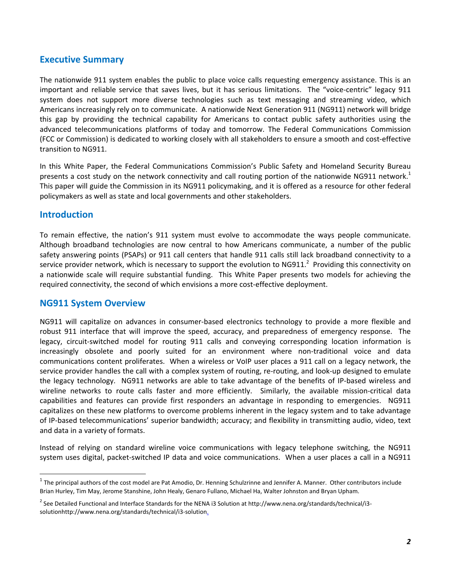## **Executive Summary**

The nationwide 911 system enables the public to place voice calls requesting emergency assistance. This is an important and reliable service that saves lives, but it has serious limitations. The "voice-centric" legacy 911 system does not support more diverse technologies such as text messaging and streaming video, which Americans increasingly rely on to communicate. A nationwide Next Generation 911 (NG911) network will bridge this gap by providing the technical capability for Americans to contact public safety authorities using the advanced telecommunications platforms of today and tomorrow. The Federal Communications Commission (FCC or Commission) is dedicated to working closely with all stakeholders to ensure a smooth and cost‐effective transition to NG911.

In this White Paper, the Federal Communications Commission's Public Safety and Homeland Security Bureau presents a cost study on the network connectivity and call routing portion of the nationwide NG911 network.<sup>1</sup> This paper will guide the Commission in its NG911 policymaking, and it is offered as a resource for other federal policymakers as well as state and local governments and other stakeholders.

## **Introduction**

To remain effective, the nation's 911 system must evolve to accommodate the ways people communicate. Although broadband technologies are now central to how Americans communicate, a number of the public safety answering points (PSAPs) or 911 call centers that handle 911 calls still lack broadband connectivity to a service provider network, which is necessary to support the evolution to NG911.<sup>2</sup> Providing this connectivity on a nationwide scale will require substantial funding. This White Paper presents two models for achieving the required connectivity, the second of which envisions a more cost-effective deployment.

### **NG911 System Overview**

NG911 will capitalize on advances in consumer‐based electronics technology to provide a more flexible and robust 911 interface that will improve the speed, accuracy, and preparedness of emergency response. The legacy, circuit‐switched model for routing 911 calls and conveying corresponding location information is increasingly obsolete and poorly suited for an environment where non-traditional voice and data communications content proliferates. When a wireless or VoIP user places a 911 call on a legacy network, the service provider handles the call with a complex system of routing, re-routing, and look-up designed to emulate the legacy technology. NG911 networks are able to take advantage of the benefits of IP‐based wireless and wireline networks to route calls faster and more efficiently. Similarly, the available mission-critical data capabilities and features can provide first responders an advantage in responding to emergencies. NG911 capitalizes on these new platforms to overcome problems inherent in the legacy system and to take advantage of IP‐based telecommunications' superior bandwidth; accuracy; and flexibility in transmitting audio, video, text and data in a variety of formats.

Instead of relying on standard wireline voice communications with legacy telephone switching, the NG911 system uses digital, packet-switched IP data and voice communications. When a user places a call in a NG911

 $1$  The principal authors of the cost model are Pat Amodio, Dr. Henning Schulzrinne and Jennifer A. Manner. Other contributors include Brian Hurley, Tim May, Jerome Stanshine, John Healy, Genaro Fullano, Michael Ha, Walter Johnston and Bryan Upham.

<sup>&</sup>lt;sup>2</sup> See Detailed Functional and Interface Standards for the NENA i3 Solution at http://www.nena.org/standards/technical/i3solutionhttp://www.nena.org/standards/technical/i3-solution.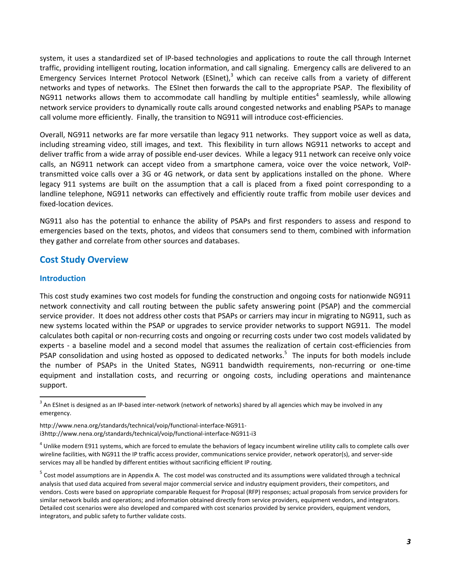system, it uses a standardized set of IP‐based technologies and applications to route the call through Internet traffic, providing intelligent routing, location information, and call signaling. Emergency calls are delivered to an Emergency Services Internet Protocol Network (ESInet), $3$  which can receive calls from a variety of different networks and types of networks. The ESInet then forwards the call to the appropriate PSAP. The flexibility of NG911 networks allows them to accommodate call handling by multiple entities<sup>4</sup> seamlessly, while allowing network service providers to dynamically route calls around congested networks and enabling PSAPs to manage call volume more efficiently. Finally, the transition to NG911 will introduce cost-efficiencies.

Overall, NG911 networks are far more versatile than legacy 911 networks. They support voice as well as data, including streaming video, still images, and text. This flexibility in turn allows NG911 networks to accept and deliver traffic from a wide array of possible end‐user devices. While a legacy 911 network can receive only voice calls, an NG911 network can accept video from a smartphone camera, voice over the voice network, VoIP‐ transmitted voice calls over a 3G or 4G network, or data sent by applications installed on the phone. Where legacy 911 systems are built on the assumption that a call is placed from a fixed point corresponding to a landline telephone, NG911 networks can effectively and efficiently route traffic from mobile user devices and fixed‐location devices.

NG911 also has the potential to enhance the ability of PSAPs and first responders to assess and respond to emergencies based on the texts, photos, and videos that consumers send to them, combined with information they gather and correlate from other sources and databases.

## **Cost Study Overview**

#### **Introduction**

This cost study examines two cost models for funding the construction and ongoing costs for nationwide NG911 network connectivity and call routing between the public safety answering point (PSAP) and the commercial service provider. It does not address other costs that PSAPs or carriers may incur in migrating to NG911, such as new systems located within the PSAP or upgrades to service provider networks to support NG911. The model calculates both capital or non‐recurring costs and ongoing or recurring costs under two cost models validated by experts - a baseline model and a second model that assumes the realization of certain cost-efficiencies from PSAP consolidation and using hosted as opposed to dedicated networks.<sup>5</sup> The inputs for both models include the number of PSAPs in the United States, NG911 bandwidth requirements, non‐recurring or one‐time equipment and installation costs, and recurring or ongoing costs, including operations and maintenance support.

http://www.nena.org/standards/technical/voip/functional-interface-NG911i3http://www.nena.org/standards/technical/voip/functional-interface-NG911-i3

<sup>&</sup>lt;sup>3</sup> An ESInet is designed as an IP-based inter-network (network of networks) shared by all agencies which may be involved in any emergency.

 $4$  Unlike modern E911 systems, which are forced to emulate the behaviors of legacy incumbent wireline utility calls to complete calls over wireline facilities, with NG911 the IP traffic access provider, communications service provider, network operator(s), and server‐side services may all be handled by different entities without sacrificing efficient IP routing.

 $5$  Cost model assumptions are in Appendix A. The cost model was constructed and its assumptions were validated through a technical analysis that used data acquired from several major commercial service and industry equipment providers, their competitors, and vendors. Costs were based on appropriate comparable Request for Proposal (RFP) responses; actual proposals from service providers for similar network builds and operations; and information obtained directly from service providers, equipment vendors, and integrators. Detailed cost scenarios were also developed and compared with cost scenarios provided by service providers, equipment vendors, integrators, and public safety to further validate costs.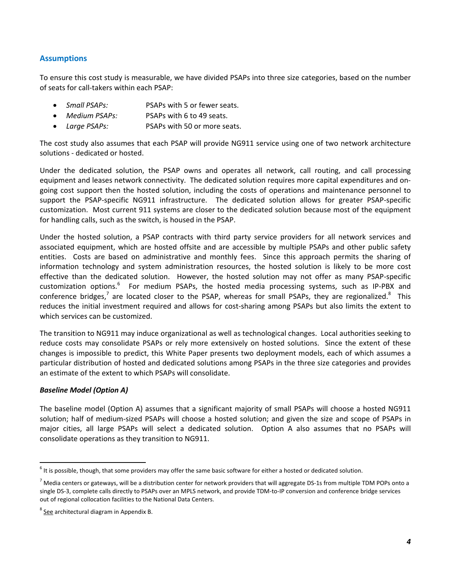## **Assumptions**

To ensure this cost study is measurable, we have divided PSAPs into three size categories, based on the number of seats for call‐takers within each PSAP:

- *Small PSAPs:* PSAPs with 5 or fewer seats.
- *Medium PSAPs:* PSAPs with 6 to 49 seats.
- *Large PSAPs:* PSAPs with 50 or more seats.

The cost study also assumes that each PSAP will provide NG911 service using one of two network architecture solutions ‐ dedicated or hosted.

Under the dedicated solution, the PSAP owns and operates all network, call routing, and call processing equipment and leases network connectivity. The dedicated solution requires more capital expenditures and on‐ going cost support then the hosted solution, including the costs of operations and maintenance personnel to support the PSAP-specific NG911 infrastructure. The dedicated solution allows for greater PSAP-specific customization. Most current 911 systems are closer to the dedicated solution because most of the equipment for handling calls, such as the switch, is housed in the PSAP.

Under the hosted solution, a PSAP contracts with third party service providers for all network services and associated equipment, which are hosted offsite and are accessible by multiple PSAPs and other public safety entities. Costs are based on administrative and monthly fees. Since this approach permits the sharing of information technology and system administration resources, the hosted solution is likely to be more cost effective than the dedicated solution. However, the hosted solution may not offer as many PSAP-specific customization options.<sup>6</sup> For medium PSAPs, the hosted media processing systems, such as IP-PBX and conference bridges,<sup>7</sup> are located closer to the PSAP, whereas for small PSAPs, they are regionalized.<sup>8</sup> This reduces the initial investment required and allows for cost-sharing among PSAPs but also limits the extent to which services can be customized.

The transition to NG911 may induce organizational as well as technological changes. Local authorities seeking to reduce costs may consolidate PSAPs or rely more extensively on hosted solutions. Since the extent of these changes is impossible to predict, this White Paper presents two deployment models, each of which assumes a particular distribution of hosted and dedicated solutions among PSAPs in the three size categories and provides an estimate of the extent to which PSAPs will consolidate.

#### *Baseline Model (Option A)*

The baseline model (Option A) assumes that a significant majority of small PSAPs will choose a hosted NG911 solution; half of medium‐sized PSAPs will choose a hosted solution; and given the size and scope of PSAPs in major cities, all large PSAPs will select a dedicated solution. Option A also assumes that no PSAPs will consolidate operations as they transition to NG911.

 $^6$  It is possible, though, that some providers may offer the same basic software for either a hosted or dedicated solution.

 $^7$  Media centers or gateways, will be a distribution center for network providers that will aggregate DS-1s from multiple TDM POPs onto a single DS‐3, complete calls directly to PSAPs over an MPLS network, and provide TDM‐to‐IP conversion and conference bridge services out of regional collocation facilities to the National Data Centers.

 $^8$  See architectural diagram in Appendix B.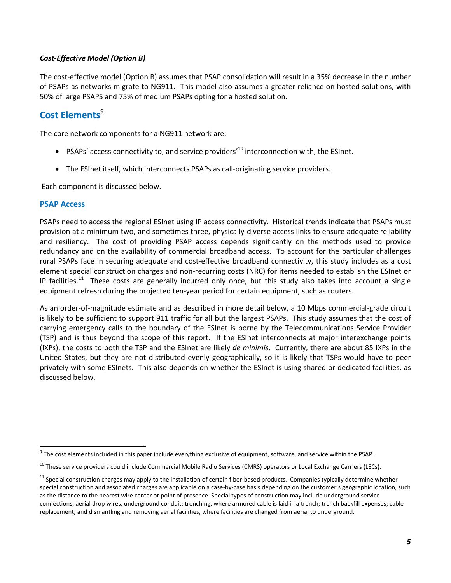#### *Cost‐Effective Model (Option B)*

The cost-effective model (Option B) assumes that PSAP consolidation will result in a 35% decrease in the number of PSAPs as networks migrate to NG911. This model also assumes a greater reliance on hosted solutions, with 50% of large PSAPS and 75% of medium PSAPs opting for a hosted solution.

## **Cost Elements**<sup>9</sup>

The core network components for a NG911 network are:

- PSAPs' access connectivity to, and service providers'<sup>10</sup> interconnection with, the ESInet.
- The ESInet itself, which interconnects PSAPs as call‐originating service providers.

Each component is discussed below.

#### **PSAP Access**

PSAPs need to access the regional ESInet using IP access connectivity. Historical trends indicate that PSAPs must provision at a minimum two, and sometimes three, physically‐diverse access links to ensure adequate reliability and resiliency. The cost of providing PSAP access depends significantly on the methods used to provide redundancy and on the availability of commercial broadband access. To account for the particular challenges rural PSAPs face in securing adequate and cost-effective broadband connectivity, this study includes as a cost element special construction charges and non‐recurring costs (NRC) for items needed to establish the ESInet or IP facilities.<sup>11</sup> These costs are generally incurred only once, but this study also takes into account a single equipment refresh during the projected ten-year period for certain equipment, such as routers.

As an order‐of‐magnitude estimate and as described in more detail below, a 10 Mbps commercial‐grade circuit is likely to be sufficient to support 911 traffic for all but the largest PSAPs. This study assumes that the cost of carrying emergency calls to the boundary of the ESInet is borne by the Telecommunications Service Provider (TSP) and is thus beyond the scope of this report. If the ESInet interconnects at major interexchange points (IXPs), the costs to both the TSP and the ESInet are likely *de minimis*. Currently, there are about 85 IXPs in the United States, but they are not distributed evenly geographically, so it is likely that TSPs would have to peer privately with some ESInets. This also depends on whether the ESInet is using shared or dedicated facilities, as discussed below.

  $9$  The cost elements included in this paper include everything exclusive of equipment, software, and service within the PSAP.

<sup>&</sup>lt;sup>10</sup> These service providers could include Commercial Mobile Radio Services (CMRS) operators or Local Exchange Carriers (LECs).

 $11$  Special construction charges may apply to the installation of certain fiber-based products. Companies typically determine whether special construction and associated charges are applicable on a case-by-case basis depending on the customer's geographic location, such as the distance to the nearest wire center or point of presence. Special types of construction may include underground service connections; aerial drop wires, underground conduit; trenching, where armored cable is laid in a trench; trench backfill expenses; cable replacement; and dismantling and removing aerial facilities, where facilities are changed from aerial to underground.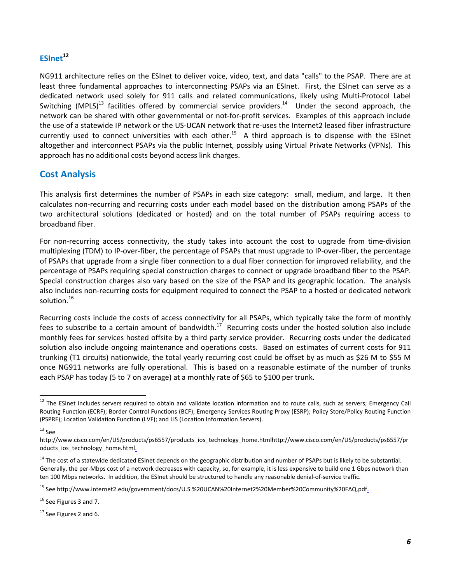## ESInet<sup>12</sup>

NG911 architecture relies on the ESInet to deliver voice, video, text, and data "calls" to the PSAP. There are at least three fundamental approaches to interconnecting PSAPs via an ESInet. First, the ESInet can serve as a dedicated network used solely for 911 calls and related communications, likely using Multi‐Protocol Label Switching (MPLS)<sup>13</sup> facilities offered by commercial service providers.<sup>14</sup> Under the second approach, the network can be shared with other governmental or not‐for‐profit services. Examples of this approach include the use of a statewide IP network or the US‐UCAN network that re‐uses the Internet2 leased fiber infrastructure currently used to connect universities with each other.<sup>15</sup> A third approach is to dispense with the ESInet altogether and interconnect PSAPs via the public Internet, possibly using Virtual Private Networks (VPNs). This approach has no additional costs beyond access link charges.

## **Cost Analysis**

This analysis first determines the number of PSAPs in each size category: small, medium, and large. It then calculates non‐recurring and recurring costs under each model based on the distribution among PSAPs of the two architectural solutions (dedicated or hosted) and on the total number of PSAPs requiring access to broadband fiber.

For non-recurring access connectivity, the study takes into account the cost to upgrade from time-division multiplexing (TDM) to IP‐over‐fiber, the percentage of PSAPs that must upgrade to IP‐over‐fiber, the percentage of PSAPs that upgrade from a single fiber connection to a dual fiber connection for improved reliability, and the percentage of PSAPs requiring special construction charges to connect or upgrade broadband fiber to the PSAP. Special construction charges also vary based on the size of the PSAP and its geographic location. The analysis also includes non‐recurring costs for equipment required to connect the PSAP to a hosted or dedicated network solution.<sup>16</sup>

Recurring costs include the costs of access connectivity for all PSAPs, which typically take the form of monthly fees to subscribe to a certain amount of bandwidth.<sup>17</sup> Recurring costs under the hosted solution also include monthly fees for services hosted offsite by a third party service provider. Recurring costs under the dedicated solution also include ongoing maintenance and operations costs. Based on estimates of current costs for 911 trunking (T1 circuits) nationwide, the total yearly recurring cost could be offset by as much as \$26 M to \$55 M once NG911 networks are fully operational. This is based on a reasonable estimate of the number of trunks each PSAP has today (5 to 7 on average) at a monthly rate of \$65 to \$100 per trunk.

 <sup>12</sup> The ESInet includes servers required to obtain and validate location information and to route calls, such as servers; Emergency Call Routing Function (ECRF); Border Control Functions (BCF); Emergency Services Routing Proxy (ESRP); Policy Store/Policy Routing Function (PSPRF); Location Validation Function (LVF); and LIS (Location Information Servers).

 $13$  See

http://www.cisco.com/en/US/products/ps6557/products\_ios\_technology\_home.htmlhttp://www.cisco.com/en/US/products/ps6557/pr oducts ios technology home.html.

<sup>&</sup>lt;sup>14</sup> The cost of a statewide dedicated ESInet depends on the geographic distribution and number of PSAPs but is likely to be substantial. Generally, the per‐Mbps cost of a network decreases with capacity, so, for example, it is less expensive to build one 1 Gbps network than ten 100 Mbps networks. In addition, the ESInet should be structured to handle any reasonable denial-of-service traffic.

<sup>15</sup> See http://www.internet2.edu/government/docs/U.S.%20UCAN%20Internet2%20Member%20Community%20FAQ.pdf.

<sup>&</sup>lt;sup>16</sup> See Figures 3 and 7.

 $17$  See Figures 2 and 6.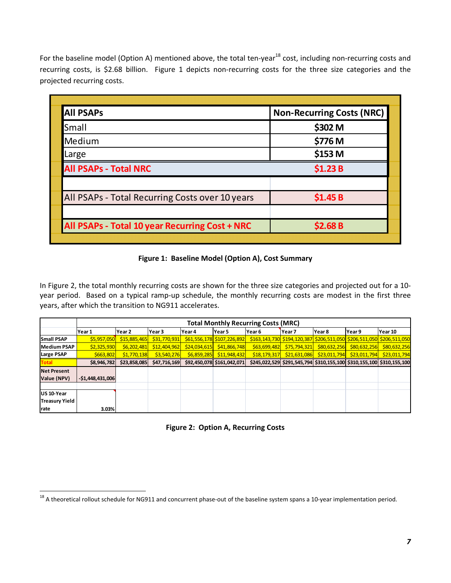For the baseline model (Option A) mentioned above, the total ten-year<sup>18</sup> cost, including non-recurring costs and recurring costs, is \$2.68 billion. Figure 1 depicts non-recurring costs for the three size categories and the projected recurring costs.

| <b>All PSAPs</b>                                | <b>Non-Recurring Costs (NRC)</b> |
|-------------------------------------------------|----------------------------------|
| Small                                           | \$302 M                          |
| Medium                                          | \$776 M                          |
| Large                                           | \$153 M                          |
| <b>All PSAPs - Total NRC</b>                    | \$1.23B                          |
| All PSAPs - Total Recurring Costs over 10 years | \$1.45B                          |
| All PSAPs - Total 10 year Recurring Cost + NRC  | \$2.68B                          |

### **Figure 1: Baseline Model (Option A), Cost Summary**

In Figure 2, the total monthly recurring costs are shown for the three size categories and projected out for a 10‐ year period. Based on a typical ramp-up schedule, the monthly recurring costs are modest in the first three years, after which the transition to NG911 accelerates.

|                       |                   | <b>Total Monthly Recurring Costs (MRC)</b> |              |              |                            |              |                                                                       |                        |              |                                                                       |  |  |
|-----------------------|-------------------|--------------------------------------------|--------------|--------------|----------------------------|--------------|-----------------------------------------------------------------------|------------------------|--------------|-----------------------------------------------------------------------|--|--|
|                       | lYear 1           | Year 2                                     | Year 3       | Year 4       | lYear 5                    | Year 6       | Year 7                                                                | lYear 8                | lYear 9      | Year 10                                                               |  |  |
| <b>Small PSAP</b>     | \$5,957,050       | \$15,885,465                               | \$31,770,931 |              | \$61,556,178 \$107,226,892 |              |                                                                       |                        |              | \$163,143,730 \$194,120,387 \$206,511,050 \$206,511,050 \$206,511,050 |  |  |
| <b>Medium PSAP</b>    | \$2,325,930       | \$6,202,481                                | \$12,404,962 | \$24,034,615 | \$41,866,748               | \$63,699,482 | \$75,794,321                                                          | \$80,632,256           | \$80,632,256 | \$80,632,256                                                          |  |  |
| <b>Large PSAP</b>     | \$663,802         | \$1,770,138                                | \$3,540,276  | \$6,859,285  | \$11,948,432               | \$18,179,317 | \$21,631,086                                                          | $\frac{23,011,794}{5}$ | \$23,011,794 | \$23,011,794                                                          |  |  |
| <b>Total</b>          | \$8,946,782       | \$23,858,085                               | \$47,716,169 |              | \$92,450,078 \$161,042,071 |              | \$245,022,529 \$291,545,794 \$310,155,100 \$310,155,100 \$310,155,100 |                        |              |                                                                       |  |  |
| <b>Net Present</b>    |                   |                                            |              |              |                            |              |                                                                       |                        |              |                                                                       |  |  |
| Value (NPV)           | $-$1,448,431,006$ |                                            |              |              |                            |              |                                                                       |                        |              |                                                                       |  |  |
|                       |                   |                                            |              |              |                            |              |                                                                       |                        |              |                                                                       |  |  |
| US 10-Year            |                   |                                            |              |              |                            |              |                                                                       |                        |              |                                                                       |  |  |
| <b>Treasury Yield</b> |                   |                                            |              |              |                            |              |                                                                       |                        |              |                                                                       |  |  |
| rate                  | 3.03%             |                                            |              |              |                            |              |                                                                       |                        |              |                                                                       |  |  |

**Figure 2: Option A, Recurring Costs**

 <sup>18</sup> A theoretical rollout schedule for NG911 and concurrent phase-out of the baseline system spans a 10-year implementation period.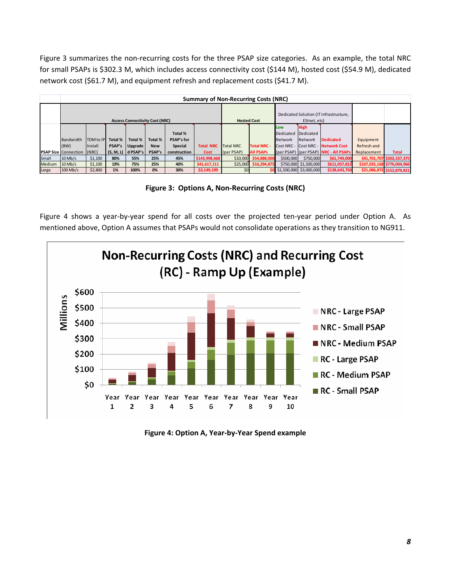Figure 3 summarizes the non-recurring costs for the three PSAP size categories. As an example, the total NRC for small PSAPs is \$302.3 M, which includes access connectivity cost (\$144 M), hosted cost (\$54.9 M), dedicated network cost (\$61.7 M), and equipment refresh and replacement costs (\$41.7 M).

|               | <b>Summary of Non-Recurring Costs (NRC)</b> |                  |         |                      |            |                    |                  |                  |                         |                                        |                         |                                           |             |                             |
|---------------|---------------------------------------------|------------------|---------|----------------------|------------|--------------------|------------------|------------------|-------------------------|----------------------------------------|-------------------------|-------------------------------------------|-------------|-----------------------------|
|               | <b>Access Connectivity Cost (NRC)</b>       |                  |         |                      |            | <b>Hosted Cost</b> |                  |                  | ESInet, etc)            | Dedicated Solution (IT infrastructure, |                         |                                           |             |                             |
|               |                                             |                  |         |                      |            |                    |                  |                  |                         | Low                                    | <b>High</b>             |                                           |             |                             |
|               |                                             |                  |         |                      |            | Total %            |                  |                  |                         | Dedicated Dedicated                    |                         |                                           |             |                             |
|               | Bandwidth                                   | <b>TDM</b> to IP | Total % | Total %              | Total %    | <b>PSAP's for</b>  |                  |                  |                         | <b>Network</b>                         | Network                 | <b>Dedicated</b>                          | Equipment   |                             |
|               | (BW)                                        | <b>Install</b>   | PSAP's  | Upgrade              | <b>New</b> | Special            | <b>Total NRC</b> | <b>Total NRC</b> | <b>Total NRC -</b>      |                                        |                         | <b>Cost NRC - Cost NRC - Network Cost</b> | Refresh and |                             |
|               | <b>PSAP Size Connection</b>                 | (NRC)            |         | $(S, M, L)$ d PSAP's | PSAP's     | construction       | Cost             | (per PSAP)       | <b>All PSAPs</b>        |                                        |                         | (per PSAP) (per PSAP) NRC - All PSAPs     | Replacement | <b>Total</b>                |
| Small         | $10$ Mb/s                                   | \$1,100          | 80%     | 55%                  | 25%        | 45%                | \$143,998,668    |                  | \$10,000 \$54,888,000   | \$500,000                              | \$750,000               | \$61,749,000                              |             | \$41,701,707 \$302,337,375  |
| <b>Medium</b> | $10$ Mb/s                                   | \$1,100          | 19%     | 75%                  | 25%        | 40%                | \$41,617,111     |                  | $$25,000$ $$16,294,875$ |                                        | \$750,000 \$1,500,000   | \$611,057,813                             |             | \$107,035,168 \$776,004,966 |
| Large         | $100$ Mb/s                                  | \$2,800          | 1%      | 100%                 | 0%         | 30%                | \$3,149,199      |                  |                         |                                        | \$1,500,000 \$3,000,000 | \$128,643,750                             |             | \$21,086,872 \$152,879,821  |

**Figure 3: Options A, Non‐Recurring Costs (NRC)**

Figure 4 shows a year-by-year spend for all costs over the projected ten-year period under Option A. As mentioned above, Option A assumes that PSAPs would not consolidate operations as they transition to NG911.



**Figure 4: Option A, Year‐by‐Year Spend example**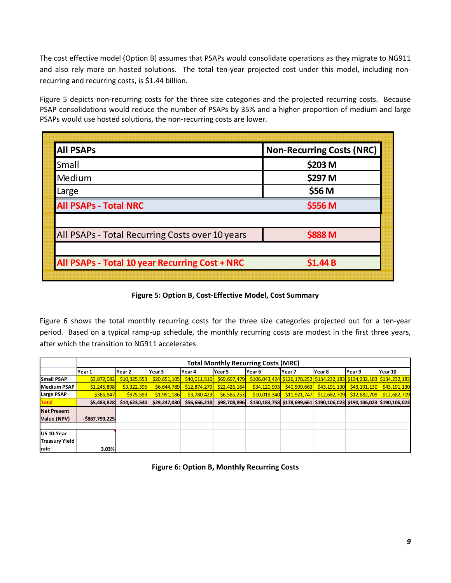The cost effective model (Option B) assumes that PSAPs would consolidate operations as they migrate to NG911 and also rely more on hosted solutions. The total ten-year projected cost under this model, including nonrecurring and recurring costs, is \$1.44 billion.

Figure 5 depicts non-recurring costs for the three size categories and the projected recurring costs. Because PSAP consolidations would reduce the number of PSAPs by 35% and a higher proportion of medium and large PSAPs would use hosted solutions, the non‐recurring costs are lower.

| <b>All PSAPs</b>                                | <b>Non-Recurring Costs (NRC)</b> |
|-------------------------------------------------|----------------------------------|
| Small                                           | \$203 M                          |
| Medium                                          | \$297 M                          |
| Large                                           | \$56 M                           |
| <b>All PSAPs - Total NRC</b>                    | \$556 M                          |
| All PSAPs - Total Recurring Costs over 10 years | \$888 M                          |
| All PSAPs - Total 10 year Recurring Cost + NRC  | \$1.44B                          |

## **Figure 5: Option B, Cost‐Effective Model, Cost Summary**

Figure 6 shows the total monthly recurring costs for the three size categories projected out for a ten-year period. Based on a typical ramp-up schedule, the monthly recurring costs are modest in the first three years, after which the transition to NG911 accelerates.

|                       |                   | <b>Total Monthly Recurring Costs (MRC)</b> |              |              |              |              |                       |              |                                                                       |              |  |  |
|-----------------------|-------------------|--------------------------------------------|--------------|--------------|--------------|--------------|-----------------------|--------------|-----------------------------------------------------------------------|--------------|--|--|
|                       | Year 1            | Year 2                                     | Year 3       | Year 4       | lYear 5      | Year 6       | Year <sub>7</sub>     | Year 8       | Year 9                                                                | Year 10      |  |  |
| <b>Small PSAP</b>     | \$3,872,082       | \$10,325,553                               | \$20,651,105 | \$40,011,516 | \$69,697,479 |              |                       |              | \$106,043,424 \$126,178,252 \$134,232,183 \$134,232,183 \$134,232,183 |              |  |  |
| <b>Medium PSAP</b>    | \$1,245,898       | \$3,322,395                                | \$6,644,789  | \$12,874,279 | \$22,426,164 | \$34,120,993 | \$40,599,663          |              | $\frac{1}{2}$ \$43,191,130 \$43,191,130                               | \$43,191,130 |  |  |
| Large PSAP            | \$365,847         | \$975,593                                  | \$1,951,186  | \$3,780,423  | \$6,585,253  | \$10,019,340 | $\frac{1}{1.921,747}$ | \$12,682,709 | \$12,682,709                                                          | \$12,682,709 |  |  |
| <b>Total</b>          | \$5,483,828       | \$14,623,540                               | \$29,247,080 | \$56,666,218 | \$98,708,896 |              |                       |              | \$150,183,758 \$178,699,661 \$190,106,023 \$190,106,023 \$190,106,023 |              |  |  |
| <b>Net Present</b>    |                   |                                            |              |              |              |              |                       |              |                                                                       |              |  |  |
| Value (NPV)           | $-$ \$887,799,225 |                                            |              |              |              |              |                       |              |                                                                       |              |  |  |
|                       |                   |                                            |              |              |              |              |                       |              |                                                                       |              |  |  |
| US 10-Year            |                   |                                            |              |              |              |              |                       |              |                                                                       |              |  |  |
| <b>Treasury Yield</b> |                   |                                            |              |              |              |              |                       |              |                                                                       |              |  |  |
| rate                  | 3.03%             |                                            |              |              |              |              |                       |              |                                                                       |              |  |  |

**Figure 6: Option B, Monthly Recurring Costs**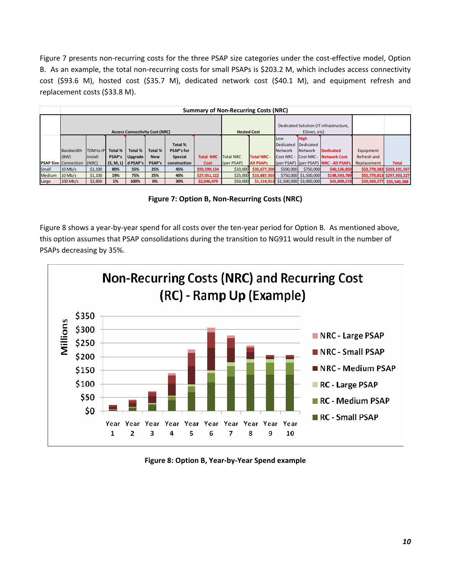Figure 7 presents non-recurring costs for the three PSAP size categories under the cost-effective model, Option B. As an example, the total non-recurring costs for small PSAPs is \$203.2 M, which includes access connectivity cost (\$93.6 M), hosted cost (\$35.7 M), dedicated network cost (\$40.1 M), and equipment refresh and replacement costs (\$33.8 M).

|        | <b>Summary of Non-Recurring Costs (NRC)</b> |           |         |                                       |            |                   |                  |                    |                         |                                        |                                        |                                       |             |                            |
|--------|---------------------------------------------|-----------|---------|---------------------------------------|------------|-------------------|------------------|--------------------|-------------------------|----------------------------------------|----------------------------------------|---------------------------------------|-------------|----------------------------|
|        |                                             |           |         |                                       |            |                   |                  |                    |                         |                                        | Dedicated Solution (IT infrastructure, |                                       |             |                            |
|        |                                             |           |         | <b>Access Connectivity Cost (NRC)</b> |            |                   |                  | <b>Hosted Cost</b> |                         |                                        | ESInet, etc)                           |                                       |             |                            |
|        |                                             |           |         |                                       |            |                   |                  |                    |                         | Low                                    | <b>High</b>                            |                                       |             |                            |
|        |                                             |           |         |                                       |            | Total %           |                  |                    |                         | Dedicated Dedicated                    |                                        |                                       |             |                            |
|        | Bandwidth                                   | TDM to IP | Total % | Total %                               | Total %    | <b>PSAP's for</b> |                  |                    |                         | <b>Network</b>                         | Network                                | <b>Dedicated</b>                      | Equipment   |                            |
|        | (BW)                                        | Install   | PSAP's  | Upgrade                               | <b>New</b> | Special           | <b>Total NRC</b> | <b>Total NRC</b>   | <b>Total NRC -</b>      | Cost NRC - Cost NRC -                  |                                        | <b>Network Cost</b>                   | Refresh and |                            |
|        | <b>PSAP Size Connection</b>                 | (NRC)     |         | $(S, M, L)$ d PSAP's                  | PSAP's     | construction      | <b>Cost</b>      | [per PSAP]         | <b>All PSAPs</b>        |                                        |                                        | (per PSAP) (per PSAP) NRC - All PSAPs | Replacement | <b>Total</b>               |
| Small  | $10$ Mb/s                                   | \$1,100   | 80%     | 55%                                   | 25%        | 45%               | \$93,599,134     |                    | \$10,000 \$35,677,200   | \$500,000                              | \$750,000                              | \$40,136,850                          |             | \$33,778,383 \$203,191,567 |
| Medium | $10$ Mb/s                                   | \$1,100   | 19%     | 75%                                   | 25%        | 40%               | \$27,051,122     |                    | $$25,000$ $$15,887,503$ |                                        | \$750,000 \$1,500,000                  | \$198,593,789                         |             | \$55,770,813 \$297,303,227 |
| Large  | $100$ Mb/s                                  | \$2,800   | 1%      | 100%                                  | 0%         | 30%               | \$2,046,979      | \$50,000           |                         | $$1,114,913$ $$1,500,000$ $$3,000,000$ |                                        | \$41,809,219                          |             | \$10,569,277 \$55,540,388  |

**Figure 7: Option B, Non‐Recurring Costs (NRC)**

Figure 8 shows a year-by-year spend for all costs over the ten-year period for Option B. As mentioned above, this option assumes that PSAP consolidations during the transition to NG911 would result in the number of PSAPs decreasing by 35%.



**Figure 8: Option B, Year‐by‐Year Spend example**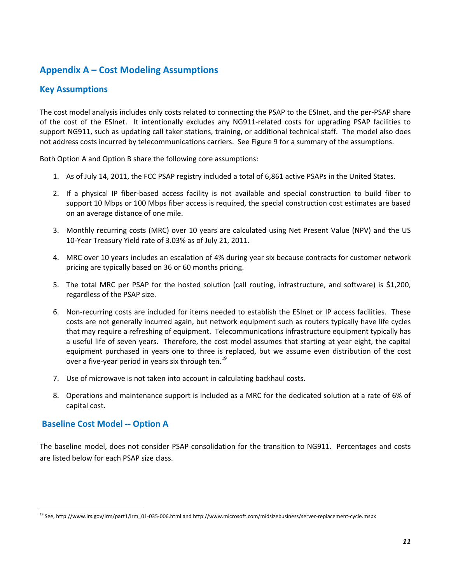## **Appendix A – Cost Modeling Assumptions**

## **Key Assumptions**

The cost model analysis includes only costs related to connecting the PSAP to the ESInet, and the per‐PSAP share of the cost of the ESInet. It intentionally excludes any NG911‐related costs for upgrading PSAP facilities to support NG911, such as updating call taker stations, training, or additional technical staff. The model also does not address costs incurred by telecommunications carriers. See Figure 9 for a summary of the assumptions.

Both Option A and Option B share the following core assumptions:

- 1. As of July 14, 2011, the FCC PSAP registry included a total of 6,861 active PSAPs in the United States.
- 2. If a physical IP fiber-based access facility is not available and special construction to build fiber to support 10 Mbps or 100 Mbps fiber access is required, the special construction cost estimates are based on an average distance of one mile.
- 3. Monthly recurring costs (MRC) over 10 years are calculated using Net Present Value (NPV) and the US 10‐Year Treasury Yield rate of 3.03% as of July 21, 2011.
- 4. MRC over 10 years includes an escalation of 4% during year six because contracts for customer network pricing are typically based on 36 or 60 months pricing.
- 5. The total MRC per PSAP for the hosted solution (call routing, infrastructure, and software) is \$1,200, regardless of the PSAP size.
- 6. Non‐recurring costs are included for items needed to establish the ESInet or IP access facilities. These costs are not generally incurred again, but network equipment such as routers typically have life cycles that may require a refreshing of equipment. Telecommunications infrastructure equipment typically has a useful life of seven years. Therefore, the cost model assumes that starting at year eight, the capital equipment purchased in years one to three is replaced, but we assume even distribution of the cost over a five-year period in years six through ten.<sup>19</sup>
- 7. Use of microwave is not taken into account in calculating backhaul costs.
- 8. Operations and maintenance support is included as a MRC for the dedicated solution at a rate of 6% of capital cost.

## **Baseline Cost Model ‐‐ Option A**

The baseline model, does not consider PSAP consolidation for the transition to NG911. Percentages and costs are listed below for each PSAP size class.

<sup>19</sup> See, http://www.irs.gov/irm/part1/irm\_01‐035‐006.html and http://www.microsoft.com/midsizebusiness/server‐replacement‐cycle.mspx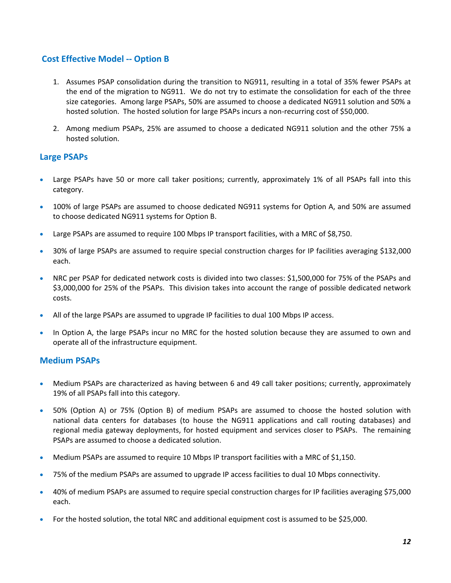## **Cost Effective Model ‐‐ Option B**

- 1. Assumes PSAP consolidation during the transition to NG911, resulting in a total of 35% fewer PSAPs at the end of the migration to NG911. We do not try to estimate the consolidation for each of the three size categories. Among large PSAPs, 50% are assumed to choose a dedicated NG911 solution and 50% a hosted solution. The hosted solution for large PSAPs incurs a non-recurring cost of \$50,000.
- 2. Among medium PSAPs, 25% are assumed to choose a dedicated NG911 solution and the other 75% a hosted solution.

## **Large PSAPs**

- Large PSAPs have 50 or more call taker positions; currently, approximately 1% of all PSAPs fall into this category.
- 100% of large PSAPs are assumed to choose dedicated NG911 systems for Option A, and 50% are assumed to choose dedicated NG911 systems for Option B.
- Large PSAPs are assumed to require 100 Mbps IP transport facilities, with a MRC of \$8,750.
- 30% of large PSAPs are assumed to require special construction charges for IP facilities averaging \$132,000 each.
- NRC per PSAP for dedicated network costs is divided into two classes: \$1,500,000 for 75% of the PSAPs and \$3,000,000 for 25% of the PSAPs. This division takes into account the range of possible dedicated network costs.
- All of the large PSAPs are assumed to upgrade IP facilities to dual 100 Mbps IP access.
- In Option A, the large PSAPs incur no MRC for the hosted solution because they are assumed to own and operate all of the infrastructure equipment.

## **Medium PSAPs**

- Medium PSAPs are characterized as having between 6 and 49 call taker positions; currently, approximately 19% of all PSAPs fall into this category.
- 50% (Option A) or 75% (Option B) of medium PSAPs are assumed to choose the hosted solution with national data centers for databases (to house the NG911 applications and call routing databases) and regional media gateway deployments, for hosted equipment and services closer to PSAPs. The remaining PSAPs are assumed to choose a dedicated solution.
- Medium PSAPs are assumed to require 10 Mbps IP transport facilities with a MRC of \$1,150.
- 75% of the medium PSAPs are assumed to upgrade IP access facilities to dual 10 Mbps connectivity.
- 40% of medium PSAPs are assumed to require special construction charges for IP facilities averaging \$75,000 each.
- For the hosted solution, the total NRC and additional equipment cost is assumed to be \$25,000.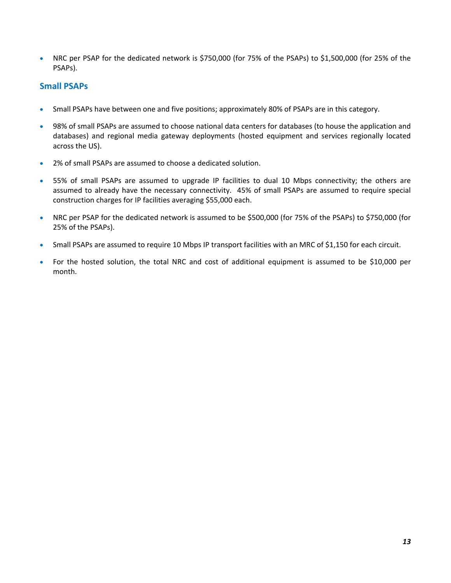• NRC per PSAP for the dedicated network is \$750,000 (for 75% of the PSAPs) to \$1,500,000 (for 25% of the PSAPs).

## **Small PSAPs**

- Small PSAPs have between one and five positions; approximately 80% of PSAPs are in this category.
- 98% of small PSAPs are assumed to choose national data centers for databases (to house the application and databases) and regional media gateway deployments (hosted equipment and services regionally located across the US).
- 2% of small PSAPs are assumed to choose a dedicated solution.
- 55% of small PSAPs are assumed to upgrade IP facilities to dual 10 Mbps connectivity; the others are assumed to already have the necessary connectivity. 45% of small PSAPs are assumed to require special construction charges for IP facilities averaging \$55,000 each.
- NRC per PSAP for the dedicated network is assumed to be \$500,000 (for 75% of the PSAPs) to \$750,000 (for 25% of the PSAPs).
- Small PSAPs are assumed to require 10 Mbps IP transport facilities with an MRC of \$1,150 for each circuit.
- For the hosted solution, the total NRC and cost of additional equipment is assumed to be \$10,000 per month.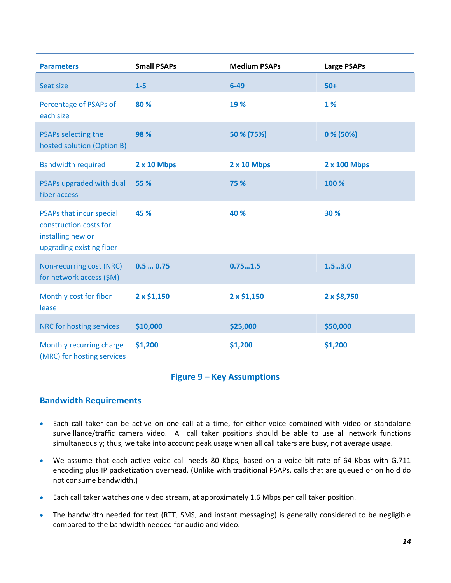| <b>Parameters</b>                                                                                   | <b>Small PSAPs</b> | <b>Medium PSAPs</b> | <b>Large PSAPs</b> |
|-----------------------------------------------------------------------------------------------------|--------------------|---------------------|--------------------|
| Seat size                                                                                           | $1-5$              | $6 - 49$            | $50+$              |
| Percentage of PSAPs of<br>each size                                                                 | 80 %               | 19 %                | 1%                 |
| PSAPs selecting the<br>hosted solution (Option B)                                                   | 98 %               | 50 % (75%)          | $0\%$ (50%)        |
| <b>Bandwidth required</b>                                                                           | <b>2 x 10 Mbps</b> | 2 x 10 Mbps         | 2 x 100 Mbps       |
| PSAPs upgraded with dual<br>fiber access                                                            | 55 %               | 75 %                | 100 %              |
| PSAPs that incur special<br>construction costs for<br>installing new or<br>upgrading existing fiber | 45 %               | 40 %                | 30 %               |
| Non-recurring cost (NRC)<br>for network access (\$M)                                                | 0.50.75            | 0.751.5             | 1.53.0             |
| Monthly cost for fiber<br>lease                                                                     | $2 \times $1,150$  | $2 \times $1,150$   | 2 x \$8,750        |
| NRC for hosting services                                                                            | \$10,000           | \$25,000            | \$50,000           |
| Monthly recurring charge<br>(MRC) for hosting services                                              | \$1,200            | \$1,200             | \$1,200            |

### **Figure 9 – Key Assumptions**

## **Bandwidth Requirements**

- Each call taker can be active on one call at a time, for either voice combined with video or standalone surveillance/traffic camera video. All call taker positions should be able to use all network functions simultaneously; thus, we take into account peak usage when all call takers are busy, not average usage.
- We assume that each active voice call needs 80 Kbps, based on a voice bit rate of 64 Kbps with G.711 encoding plus IP packetization overhead. (Unlike with traditional PSAPs, calls that are queued or on hold do not consume bandwidth.)
- Each call taker watches one video stream, at approximately 1.6 Mbps per call taker position.
- The bandwidth needed for text (RTT, SMS, and instant messaging) is generally considered to be negligible compared to the bandwidth needed for audio and video.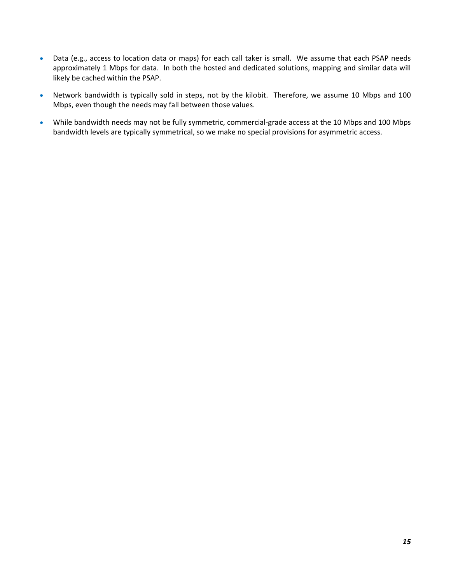- Data (e.g., access to location data or maps) for each call taker is small. We assume that each PSAP needs approximately 1 Mbps for data. In both the hosted and dedicated solutions, mapping and similar data will likely be cached within the PSAP.
- Network bandwidth is typically sold in steps, not by the kilobit. Therefore, we assume 10 Mbps and 100 Mbps, even though the needs may fall between those values.
- While bandwidth needs may not be fully symmetric, commercial-grade access at the 10 Mbps and 100 Mbps bandwidth levels are typically symmetrical, so we make no special provisions for asymmetric access.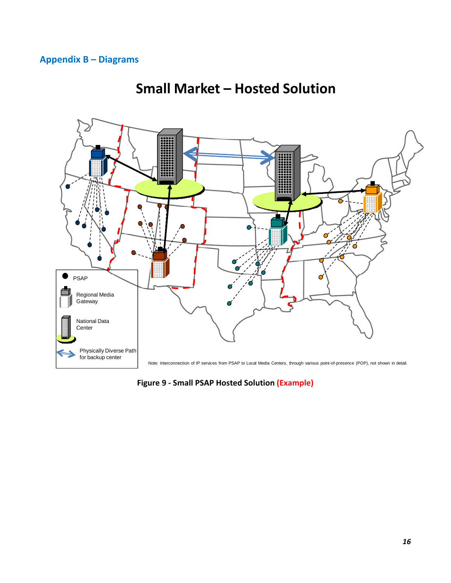## **Appendix B – Diagrams**



## **Small Market – Hosted Solution**

**Figure 9 ‐ Small PSAP Hosted Solution (Example)**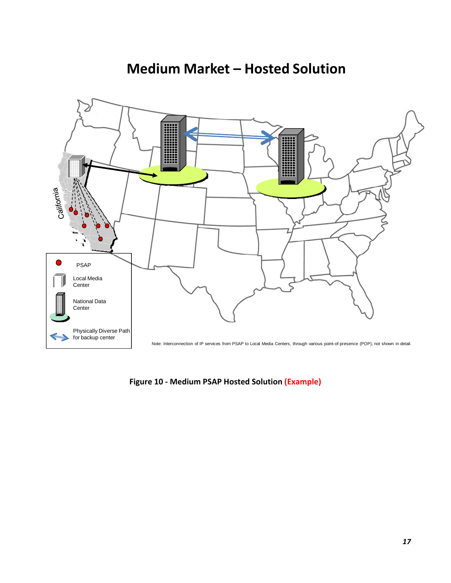## **Medium Market – Hosted Solution**



**Figure 10 ‐ Medium PSAP Hosted Solution (Example)**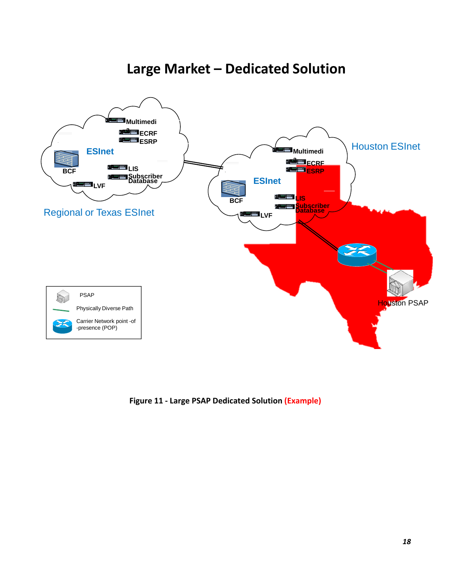# **Large Market – Dedicated Solution**



**Figure 11 ‐ Large PSAP Dedicated Solution (Example)**